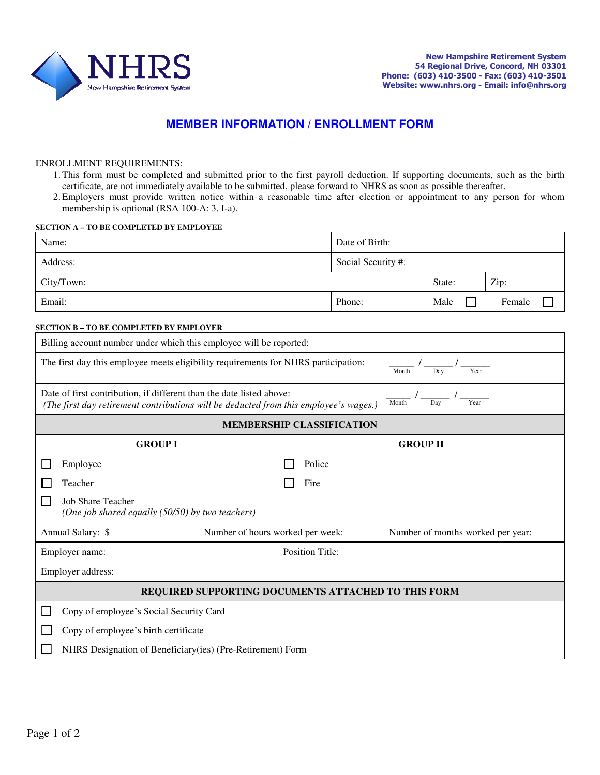

## **MEMBER INFORMATION / ENROLLMENT FORM**

## ENROLLMENT REQUIREMENTS:

- 1.This form must be completed and submitted prior to the first payroll deduction. If supporting documents, such as the birth certificate, are not immediately available to be submitted, please forward to NHRS as soon as possible thereafter.
- 2.Employers must provide written notice within a reasonable time after election or appointment to any person for whom membership is optional (RSA 100-A: 3, I-a).

## **SECTION A – TO BE COMPLETED BY EMPLOYEE**

| Name:      | Date of Birth:     |        |        |
|------------|--------------------|--------|--------|
| Address:   | Social Security #: |        |        |
| City/Town: |                    | State: | Zip:   |
| Email:     | Phone:             | Male   | Female |

## **SECTION B – TO BE COMPLETED BY EMPLOYER**

| Billing account number under which this employee will be reported:                                                                                                                    |                                  |                 |                                   |  |  |
|---------------------------------------------------------------------------------------------------------------------------------------------------------------------------------------|----------------------------------|-----------------|-----------------------------------|--|--|
| The first day this employee meets eligibility requirements for NHRS participation:<br>Year<br>Month<br>Dav                                                                            |                                  |                 |                                   |  |  |
| Date of first contribution, if different than the date listed above:<br>Year<br>Dav<br>Month<br>(The first day retirement contributions will be deducted from this employee's wages.) |                                  |                 |                                   |  |  |
| <b>MEMBERSHIP CLASSIFICATION</b>                                                                                                                                                      |                                  |                 |                                   |  |  |
| <b>GROUP I</b>                                                                                                                                                                        |                                  | <b>GROUP II</b> |                                   |  |  |
| Employee                                                                                                                                                                              |                                  | Police          |                                   |  |  |
| Teacher                                                                                                                                                                               |                                  | Fire            |                                   |  |  |
| <b>Job Share Teacher</b><br>(One job shared equally (50/50) by two teachers)                                                                                                          |                                  |                 |                                   |  |  |
| Annual Salary: \$                                                                                                                                                                     | Number of hours worked per week: |                 | Number of months worked per year: |  |  |
| <b>Position Title:</b><br>Employer name:                                                                                                                                              |                                  |                 |                                   |  |  |
| Employer address:                                                                                                                                                                     |                                  |                 |                                   |  |  |
| REQUIRED SUPPORTING DOCUMENTS ATTACHED TO THIS FORM                                                                                                                                   |                                  |                 |                                   |  |  |
| Copy of employee's Social Security Card                                                                                                                                               |                                  |                 |                                   |  |  |
| Copy of employee's birth certificate                                                                                                                                                  |                                  |                 |                                   |  |  |
| NHRS Designation of Beneficiary(ies) (Pre-Retirement) Form                                                                                                                            |                                  |                 |                                   |  |  |